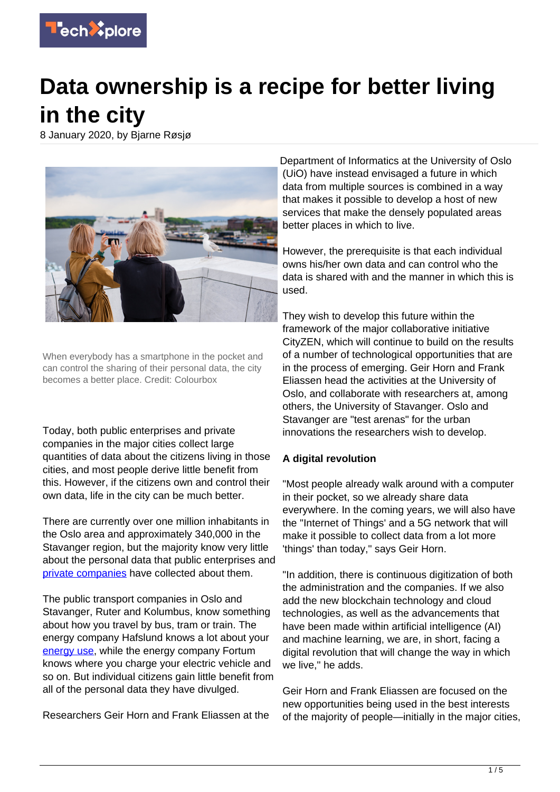

# **Data ownership is a recipe for better living in the city**

8 January 2020, by Bjarne Røsjø



When everybody has a smartphone in the pocket and can control the sharing of their personal data, the city becomes a better place. Credit: Colourbox

Today, both public enterprises and private companies in the major cities collect large quantities of data about the citizens living in those cities, and most people derive little benefit from this. However, if the citizens own and control their own data, life in the city can be much better.

There are currently over one million inhabitants in the Oslo area and approximately 340,000 in the Stavanger region, but the majority know very little about the personal data that public enterprises and [private companies](https://techxplore.com/tags/private+companies/) have collected about them.

The public transport companies in Oslo and Stavanger, Ruter and Kolumbus, know something about how you travel by bus, tram or train. The energy company Hafslund knows a lot about your [energy use,](https://techxplore.com/tags/energy+use/) while the energy company Fortum knows where you charge your electric vehicle and so on. But individual citizens gain little benefit from all of the personal data they have divulged.

Researchers Geir Horn and Frank Eliassen at the

Department of Informatics at the University of Oslo (UiO) have instead envisaged a future in which data from multiple sources is combined in a way that makes it possible to develop a host of new services that make the densely populated areas better places in which to live.

However, the prerequisite is that each individual owns his/her own data and can control who the data is shared with and the manner in which this is used.

They wish to develop this future within the framework of the major collaborative initiative CityZEN, which will continue to build on the results of a number of technological opportunities that are in the process of emerging. Geir Horn and Frank Eliassen head the activities at the University of Oslo, and collaborate with researchers at, among others, the University of Stavanger. Oslo and Stavanger are "test arenas" for the urban innovations the researchers wish to develop.

# **A digital revolution**

"Most people already walk around with a computer in their pocket, so we already share data everywhere. In the coming years, we will also have the "Internet of Things' and a 5G network that will make it possible to collect data from a lot more 'things' than today," says Geir Horn.

"In addition, there is continuous digitization of both the administration and the companies. If we also add the new blockchain technology and cloud technologies, as well as the advancements that have been made within artificial intelligence (AI) and machine learning, we are, in short, facing a digital revolution that will change the way in which we live," he adds.

Geir Horn and Frank Eliassen are focused on the new opportunities being used in the best interests of the majority of people—initially in the major cities,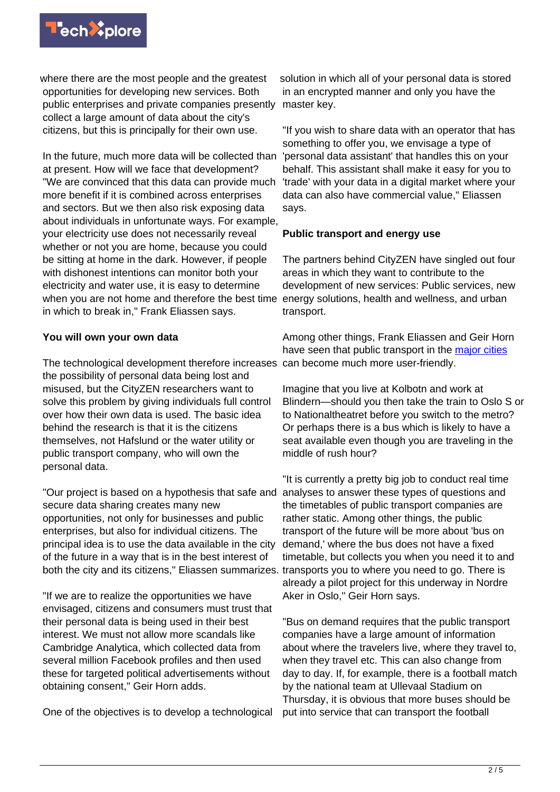

where there are the most people and the greatest opportunities for developing new services. Both public enterprises and private companies presently collect a large amount of data about the city's citizens, but this is principally for their own use.

In the future, much more data will be collected than at present. How will we face that development? "We are convinced that this data can provide much more benefit if it is combined across enterprises and sectors. But we then also risk exposing data about individuals in unfortunate ways. For example, your electricity use does not necessarily reveal whether or not you are home, because you could be sitting at home in the dark. However, if people with dishonest intentions can monitor both your electricity and water use, it is easy to determine when you are not home and therefore the best time in which to break in," Frank Eliassen says.

## **You will own your own data**

The technological development therefore increases can become much more user-friendly. the possibility of personal data being lost and misused, but the CityZEN researchers want to solve this problem by giving individuals full control over how their own data is used. The basic idea behind the research is that it is the citizens themselves, not Hafslund or the water utility or public transport company, who will own the personal data.

"Our project is based on a hypothesis that safe and secure data sharing creates many new opportunities, not only for businesses and public enterprises, but also for individual citizens. The principal idea is to use the data available in the city of the future in a way that is in the best interest of both the city and its citizens," Eliassen summarizes.

"If we are to realize the opportunities we have envisaged, citizens and consumers must trust that their personal data is being used in their best interest. We must not allow more scandals like Cambridge Analytica, which collected data from several million Facebook profiles and then used these for targeted political advertisements without obtaining consent," Geir Horn adds.

One of the objectives is to develop a technological

solution in which all of your personal data is stored in an encrypted manner and only you have the master key.

"If you wish to share data with an operator that has something to offer you, we envisage a type of 'personal data assistant' that handles this on your behalf. This assistant shall make it easy for you to 'trade' with your data in a digital market where your data can also have commercial value," Eliassen says.

## **Public transport and energy use**

The partners behind CityZEN have singled out four areas in which they want to contribute to the development of new services: Public services, new energy solutions, health and wellness, and urban transport.

Among other things, Frank Eliassen and Geir Horn have seen that public transport in the [major cities](https://techxplore.com/tags/major+cities/)

Imagine that you live at Kolbotn and work at Blindern—should you then take the train to Oslo S or to Nationaltheatret before you switch to the metro? Or perhaps there is a bus which is likely to have a seat available even though you are traveling in the middle of rush hour?

"It is currently a pretty big job to conduct real time analyses to answer these types of questions and the timetables of public transport companies are rather static. Among other things, the public transport of the future will be more about 'bus on demand,' where the bus does not have a fixed timetable, but collects you when you need it to and transports you to where you need to go. There is already a pilot project for this underway in Nordre Aker in Oslo," Geir Horn says.

"Bus on demand requires that the public transport companies have a large amount of information about where the travelers live, where they travel to, when they travel etc. This can also change from day to day. If, for example, there is a football match by the national team at Ullevaal Stadium on Thursday, it is obvious that more buses should be put into service that can transport the football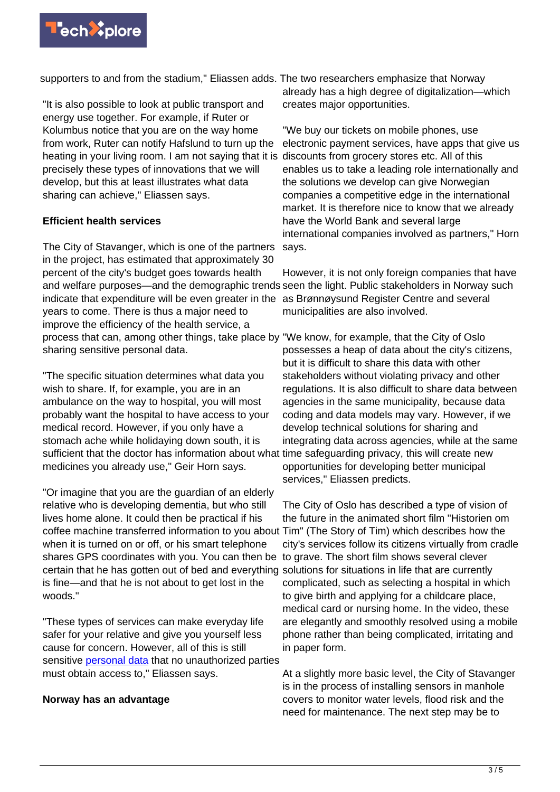

supporters to and from the stadium," Eliassen adds. The two researchers emphasize that Norway

"It is also possible to look at public transport and energy use together. For example, if Ruter or Kolumbus notice that you are on the way home from work, Ruter can notify Hafslund to turn up the heating in your living room. I am not saying that it is precisely these types of innovations that we will develop, but this at least illustrates what data sharing can achieve," Eliassen says.

#### **Efficient health services**

The City of Stavanger, which is one of the partners in the project, has estimated that approximately 30 percent of the city's budget goes towards health and welfare purposes—and the demographic trends seen the light. Public stakeholders in Norway such indicate that expenditure will be even greater in the years to come. There is thus a major need to improve the efficiency of the health service, a process that can, among other things, take place by "We know, for example, that the City of Oslo sharing sensitive personal data.

"The specific situation determines what data you wish to share. If, for example, you are in an ambulance on the way to hospital, you will most probably want the hospital to have access to your medical record. However, if you only have a stomach ache while holidaying down south, it is sufficient that the doctor has information about what time safeguarding privacy, this will create new medicines you already use," Geir Horn says.

"Or imagine that you are the guardian of an elderly relative who is developing dementia, but who still lives home alone. It could then be practical if his coffee machine transferred information to you about Tim" (The Story of Tim) which describes how the when it is turned on or off, or his smart telephone shares GPS coordinates with you. You can then be certain that he has gotten out of bed and everything solutions for situations in life that are currently is fine—and that he is not about to get lost in the woods."

"These types of services can make everyday life safer for your relative and give you yourself less cause for concern. However, all of this is still sensitive [personal data](https://techxplore.com/tags/personal+data/) that no unauthorized parties must obtain access to," Eliassen says.

#### **Norway has an advantage**

already has a high degree of digitalization—which creates major opportunities.

"We buy our tickets on mobile phones, use electronic payment services, have apps that give us discounts from grocery stores etc. All of this enables us to take a leading role internationally and the solutions we develop can give Norwegian companies a competitive edge in the international market. It is therefore nice to know that we already have the World Bank and several large international companies involved as partners," Horn says.

However, it is not only foreign companies that have as Brønnøysund Register Centre and several municipalities are also involved.

possesses a heap of data about the city's citizens, but it is difficult to share this data with other stakeholders without violating privacy and other regulations. It is also difficult to share data between agencies in the same municipality, because data coding and data models may vary. However, if we develop technical solutions for sharing and integrating data across agencies, while at the same opportunities for developing better municipal services," Eliassen predicts.

The City of Oslo has described a type of vision of the future in the animated short film "Historien om city's services follow its citizens virtually from cradle to grave. The short film shows several clever complicated, such as selecting a hospital in which to give birth and applying for a childcare place, medical card or nursing home. In the video, these are elegantly and smoothly resolved using a mobile phone rather than being complicated, irritating and in paper form.

At a slightly more basic level, the City of Stavanger is in the process of installing sensors in manhole covers to monitor water levels, flood risk and the need for maintenance. The next step may be to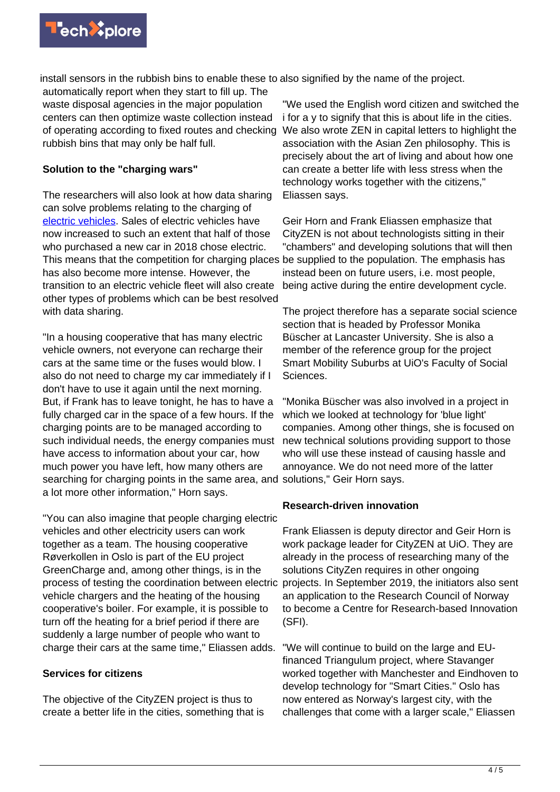

install sensors in the rubbish bins to enable these to also signified by the name of the project.

automatically report when they start to fill up. The waste disposal agencies in the major population centers can then optimize waste collection instead of operating according to fixed routes and checking rubbish bins that may only be half full.

## **Solution to the "charging wars"**

The researchers will also look at how data sharing can solve problems relating to the charging of [electric vehicles.](https://techxplore.com/tags/electric+vehicles/) Sales of electric vehicles have now increased to such an extent that half of those who purchased a new car in 2018 chose electric. This means that the competition for charging places be supplied to the population. The emphasis has has also become more intense. However, the transition to an electric vehicle fleet will also create other types of problems which can be best resolved with data sharing.

"In a housing cooperative that has many electric vehicle owners, not everyone can recharge their cars at the same time or the fuses would blow. I also do not need to charge my car immediately if I don't have to use it again until the next morning. But, if Frank has to leave tonight, he has to have a fully charged car in the space of a few hours. If the charging points are to be managed according to such individual needs, the energy companies must have access to information about your car, how much power you have left, how many others are searching for charging points in the same area, and solutions," Geir Horn says. a lot more other information," Horn says.

"You can also imagine that people charging electric vehicles and other electricity users can work together as a team. The housing cooperative Røverkollen in Oslo is part of the EU project GreenCharge and, among other things, is in the process of testing the coordination between electric projects. In September 2019, the initiators also sent vehicle chargers and the heating of the housing cooperative's boiler. For example, it is possible to turn off the heating for a brief period if there are suddenly a large number of people who want to charge their cars at the same time," Eliassen adds.

## **Services for citizens**

The objective of the CityZEN project is thus to create a better life in the cities, something that is

"We used the English word citizen and switched the i for a y to signify that this is about life in the cities. We also wrote ZEN in capital letters to highlight the association with the Asian Zen philosophy. This is precisely about the art of living and about how one can create a better life with less stress when the technology works together with the citizens," Eliassen says.

Geir Horn and Frank Eliassen emphasize that CityZEN is not about technologists sitting in their "chambers" and developing solutions that will then instead been on future users, i.e. most people, being active during the entire development cycle.

The project therefore has a separate social science section that is headed by Professor Monika Büscher at Lancaster University. She is also a member of the reference group for the project Smart Mobility Suburbs at UiO's Faculty of Social Sciences.

"Monika Büscher was also involved in a project in which we looked at technology for 'blue light' companies. Among other things, she is focused on new technical solutions providing support to those who will use these instead of causing hassle and annoyance. We do not need more of the latter

## **Research-driven innovation**

Frank Eliassen is deputy director and Geir Horn is work package leader for CityZEN at UiO. They are already in the process of researching many of the solutions CityZen requires in other ongoing an application to the Research Council of Norway to become a Centre for Research-based Innovation (SFI).

"We will continue to build on the large and EUfinanced Triangulum project, where Stavanger worked together with Manchester and Eindhoven to develop technology for "Smart Cities." Oslo has now entered as Norway's largest city, with the challenges that come with a larger scale," Eliassen